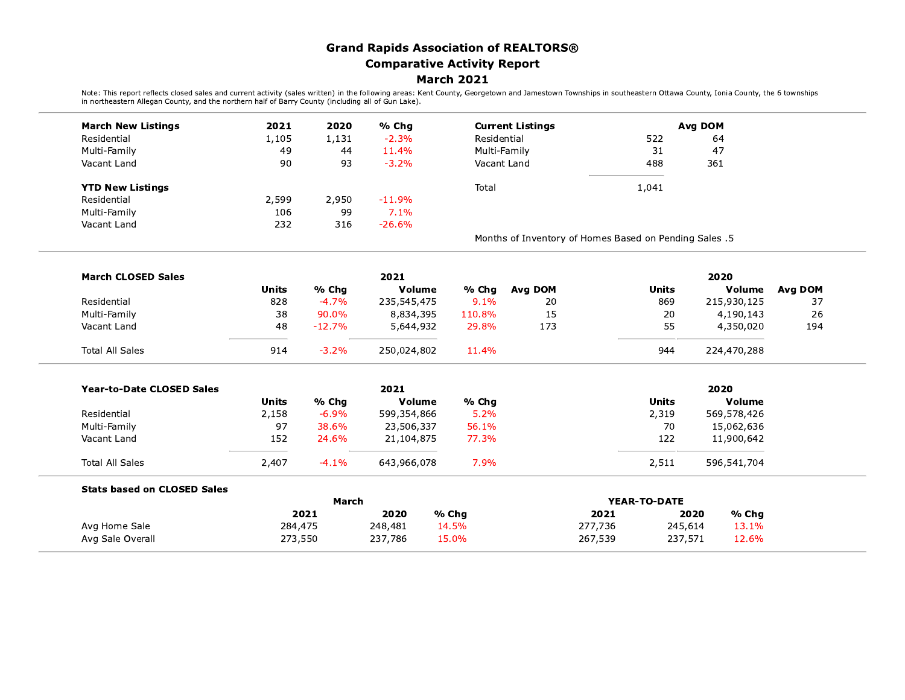## **Grand Rapids Association of REALTORS® Comparative Activity Report March 2021**

Note: This report reflects closed sales and current activity (sales written) in the following areas: Kent County, Georgetown and Jamestown Townships in southeastern Ottawa County, Ionia County, the 6 townships<br>in northeast

| <b>March New Listings</b>          | 2021         | 2020     | % Chg            |                | <b>Current Listings</b>                                |              |              | Avg DOM        |         |
|------------------------------------|--------------|----------|------------------|----------------|--------------------------------------------------------|--------------|--------------|----------------|---------|
| Residential                        | 1,105        | 1,131    | $-2.3%$          |                | Residential<br>Multi-Family                            |              | 522          | 64             |         |
| Multi-Family                       | 49           | 44<br>93 | 11.4%<br>$-3.2%$ |                |                                                        |              | 31           | 47             |         |
| Vacant Land                        | 90           |          |                  | Vacant Land    |                                                        | 488          |              | 361            |         |
| <b>YTD New Listings</b>            |              |          |                  | Total          |                                                        |              | 1,041        |                |         |
| Residential                        | 2,599        | 2,950    | $-11.9%$         |                |                                                        |              |              |                |         |
| Multi-Family                       | 106          | 99       | 7.1%             |                |                                                        |              |              |                |         |
| Vacant Land                        | 232          | 316      | $-26.6%$         |                |                                                        |              |              |                |         |
|                                    |              |          |                  |                | Months of Inventory of Homes Based on Pending Sales .5 |              |              |                |         |
| <b>March CLOSED Sales</b>          |              |          | 2021             |                |                                                        |              |              | 2020           |         |
|                                    | <b>Units</b> | % Chg    | Volume           | % Chg          | Avg DOM                                                |              | <b>Units</b> | Volume         | Avg DOM |
| Residential                        | 828          | $-4.7%$  | 235,545,475      | 9.1%           | 20                                                     |              | 869          | 215,930,125    | 37      |
| Multi-Family                       | 38           | 90.0%    | 8,834,395        | 110.8%         | 15                                                     |              | 20           | 4,190,143      | 26      |
| Vacant Land                        | 48           | $-12.7%$ | 5,644,932        | 29.8%          | 173                                                    |              | 55           | 4,350,020      | 194     |
| <b>Total All Sales</b>             | 914          | $-3.2%$  | 250,024,802      | 11.4%          |                                                        |              | 944          | 224,470,288    |         |
| <b>Year-to-Date CLOSED Sales</b>   |              |          | 2021             |                |                                                        |              |              | 2020           |         |
|                                    | <b>Units</b> | % Chg    | Volume           | % Chg          |                                                        |              | <b>Units</b> | Volume         |         |
| Residential                        | 2,158        | $-6.9%$  | 599,354,866      | 5.2%           |                                                        |              | 2,319        | 569,578,426    |         |
| Multi-Family                       | 97           | 38.6%    | 23,506,337       | 56.1%          |                                                        |              | 70           | 15,062,636     |         |
| Vacant Land                        | 152          | 24.6%    | 21,104,875       | 77.3%          |                                                        |              | 122          | 11,900,642     |         |
| <b>Total All Sales</b>             | 2,407        | $-4.1%$  | 643,966,078      | 7.9%           |                                                        |              | 2,511        | 596,541,704    |         |
| <b>Stats based on CLOSED Sales</b> |              |          |                  |                |                                                        |              |              |                |         |
|                                    |              | March    |                  |                |                                                        | YEAR-TO-DATE |              |                |         |
|                                    |              | 2021     | 2020             | % Chg          |                                                        | 2021         |              | % Chg<br>2020  |         |
| Avg Home Sale                      | 284,475      |          | 248,481          | 14.5%<br>15.0% |                                                        | 277,736      | 245,614      | 13.1%<br>12.6% |         |
| Avg Sale Overall                   | 273,550      |          | 237,786          |                |                                                        | 267,539      |              | 237,571        |         |

 $\overline{\phantom{0}}$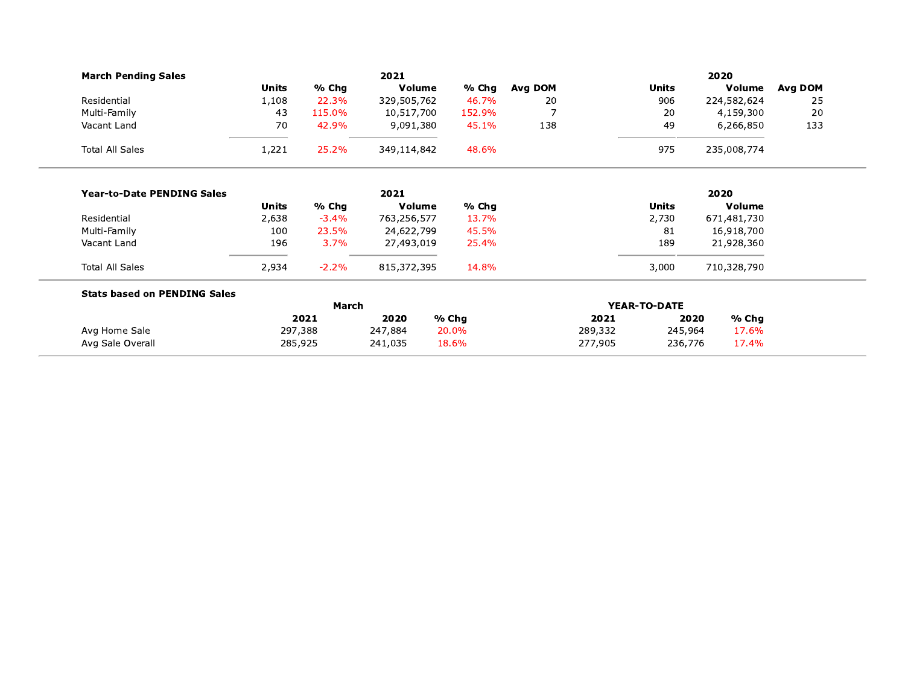| <b>March Pending Sales</b>          |              |         | 2021        |        |                |         |              | 2020        |         |
|-------------------------------------|--------------|---------|-------------|--------|----------------|---------|--------------|-------------|---------|
|                                     | <b>Units</b> | % Chg   | Volume      | % Chg  | Avg DOM        |         | <b>Units</b> | Volume      | Avg DOM |
| Residential                         | 1,108        | 22.3%   | 329,505,762 | 46.7%  | 20             |         | 906          | 224,582,624 | 25      |
| Multi-Family                        | 43           | 115.0%  | 10,517,700  | 152.9% | $\overline{7}$ |         | 20           | 4,159,300   | 20      |
| Vacant Land                         | 70           | 42.9%   | 9,091,380   | 45.1%  | 138            |         | 49           | 6,266,850   | 133     |
| <b>Total All Sales</b>              | 1,221        | 25.2%   | 349,114,842 | 48.6%  |                |         | 975          | 235,008,774 |         |
| <b>Year-to-Date PENDING Sales</b>   |              |         | 2021        |        |                |         |              | 2020        |         |
|                                     | <b>Units</b> | % Chg   | Volume      | % Chg  |                |         | <b>Units</b> | Volume      |         |
| Residential                         | 2,638        | $-3.4%$ | 763,256,577 | 13.7%  |                |         | 2,730        | 671,481,730 |         |
| Multi-Family                        | 100          | 23.5%   | 24,622,799  | 45.5%  |                |         | 81           | 16,918,700  |         |
| Vacant Land                         | 196          | 3.7%    | 27,493,019  | 25.4%  |                |         | 189          | 21,928,360  |         |
| <b>Total All Sales</b>              | 2,934        | $-2.2%$ | 815,372,395 | 14.8%  |                |         | 3,000        | 710,328,790 |         |
| <b>Stats based on PENDING Sales</b> |              |         |             |        |                |         |              |             |         |
|                                     |              | March   |             |        |                |         | YEAR-TO-DATE |             |         |
|                                     |              | 2021    | 2020        | % Chg  |                | 2021    | 2020         | % Chg       |         |
| Avg Home Sale                       | 297,388      |         | 247,884     | 20.0%  |                | 289,332 | 245,964      | 17.6%       |         |
| Avg Sale Overall                    | 285,925      |         | 241,035     | 18.6%  |                | 277,905 | 236,776      | 17.4%       |         |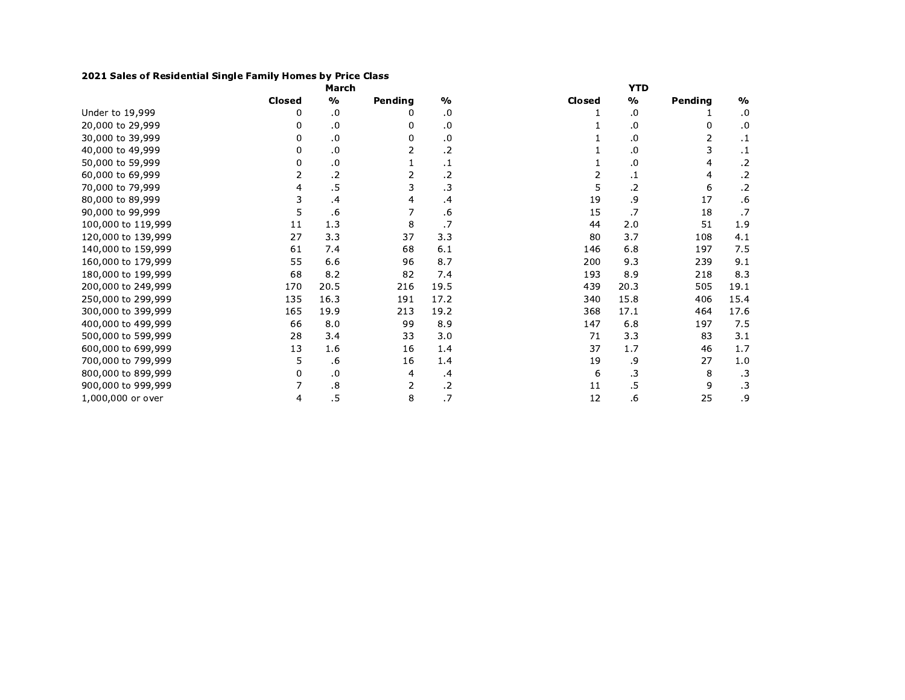## 2021 Sales of Residential Single Family Homes by Price Class

|                    |        | March           |         |               |               | <b>YTD</b>      |         |               |
|--------------------|--------|-----------------|---------|---------------|---------------|-----------------|---------|---------------|
|                    | Closed | $\frac{0}{0}$   | Pending | $\frac{0}{0}$ | <b>Closed</b> | $\frac{1}{2}$   | Pending | $\frac{0}{0}$ |
| Under to 19,999    | 0      | .0              |         | .0            |               | .0              |         | .0            |
| 20,000 to 29,999   | 0      | .0              | 0       | .0            |               | .0              | 0       | .0            |
| 30,000 to 39,999   |        | .0              | 0       | .0            |               | .0              | 2       | $\cdot$ 1     |
| 40,000 to 49,999   | 0      | $\cdot$         |         | $\cdot$       |               | .0              | 3       | $\cdot$       |
| 50,000 to 59,999   | 0      | .0              |         | .1            |               | 0.              | 4       | $\cdot$ .2    |
| 60,000 to 69,999   | 2      | $.2\phantom{0}$ | 2       | $\cdot$ .2    | 2             | .1              | 4       | $\cdot$       |
| 70,000 to 79,999   | 4      | .5              | 3       | $\cdot$ 3     | 5             | .2              | 6       | $\cdot$       |
| 80,000 to 89,999   | 3      | .4              | 4       | .4            | 19            | .9              | 17      | .6            |
| 90,000 to 99,999   | 5      | .6              |         | .6            | 15            | .7              | 18      | .7            |
| 100,000 to 119,999 | 11     | 1.3             | 8       | .7            | 44            | 2.0             | 51      | 1.9           |
| 120,000 to 139,999 | 27     | 3.3             | 37      | 3.3           | 80            | 3.7             | 108     | 4.1           |
| 140,000 to 159,999 | 61     | 7.4             | 68      | 6.1           | 146           | 6.8             | 197     | 7.5           |
| 160,000 to 179,999 | 55     | 6.6             | 96      | 8.7           | 200           | 9.3             | 239     | 9.1           |
| 180,000 to 199,999 | 68     | 8.2             | 82      | 7.4           | 193           | 8.9             | 218     | 8.3           |
| 200,000 to 249,999 | 170    | 20.5            | 216     | 19.5          | 439           | 20.3            | 505     | 19.1          |
| 250,000 to 299,999 | 135    | 16.3            | 191     | 17.2          | 340           | 15.8            | 406     | 15.4          |
| 300,000 to 399,999 | 165    | 19.9            | 213     | 19.2          | 368           | 17.1            | 464     | 17.6          |
| 400,000 to 499,999 | 66     | 8.0             | 99      | 8.9           | 147           | 6.8             | 197     | 7.5           |
| 500,000 to 599,999 | 28     | 3.4             | 33      | 3.0           | 71            | 3.3             | 83      | 3.1           |
| 600,000 to 699,999 | 13     | 1.6             | 16      | 1.4           | 37            | 1.7             | 46      | 1.7           |
| 700,000 to 799,999 | 5      | .6              | 16      | 1.4           | 19            | و.              | 27      | 1.0           |
| 800,000 to 899,999 | 0      | .0              | 4       | $\cdot$ 4     | 6             | .3              | 8       | $\cdot$ 3     |
| 900,000 to 999,999 |        | .8              | 2       | $\cdot$ .2    | 11            | $.5\phantom{0}$ | 9       | $\cdot$ 3     |
| 1,000,000 or over  | 4      | $.5\,$          | 8       | .7            | 12            | .6              | 25      | و.            |